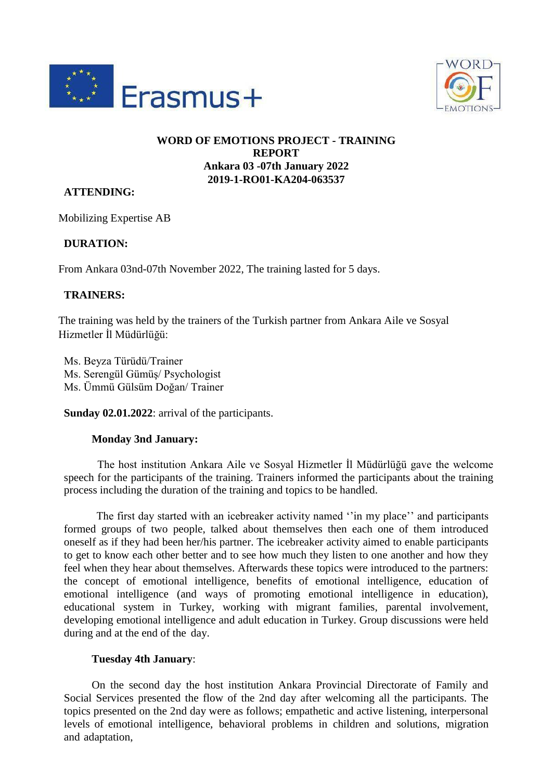



# **WORD OF EMOTIONS PROJECT - TRAINING REPORT Ankara 03 -07th January 2022 2019-1-RO01-KA204-063537**

# **ATTENDING:**

Mobilizing Expertise AB

## **DURATION:**

From Ankara 03nd-07th November 2022, The training lasted for 5 days.

## **TRAINERS:**

The training was held by the trainers of the Turkish partner from Ankara Aile ve Sosyal Hizmetler İl Müdürlüğü:

Ms. Beyza Türüdü/Trainer Ms. Serengül Gümüş/ Psychologist Ms. Ümmü Gülsüm Doğan/ Trainer

**Sunday 02.01.2022**: arrival of the participants.

#### **Monday 3nd January:**

The host institution Ankara Aile ve Sosyal Hizmetler İl Müdürlüğü gave the welcome speech for the participants of the training. Trainers informed the participants about the training process including the duration of the training and topics to be handled.

The first day started with an icebreaker activity named ''in my place'' and participants formed groups of two people, talked about themselves then each one of them introduced oneself as if they had been her/his partner. The icebreaker activity aimed to enable participants to get to know each other better and to see how much they listen to one another and how they feel when they hear about themselves. Afterwards these topics were introduced to the partners: the concept of emotional intelligence, benefits of emotional intelligence, education of emotional intelligence (and ways of promoting emotional intelligence in education), educational system in Turkey, working with migrant families, parental involvement, developing emotional intelligence and adult education in Turkey. Group discussions were held during and at the end of the day.

#### **Tuesday 4th January**:

On the second day the host institution Ankara Provincial Directorate of Family and Social Services presented the flow of the 2nd day after welcoming all the participants. The topics presented on the 2nd day were as follows; empathetic and active listening, interpersonal levels of emotional intelligence, behavioral problems in children and solutions, migration and adaptation,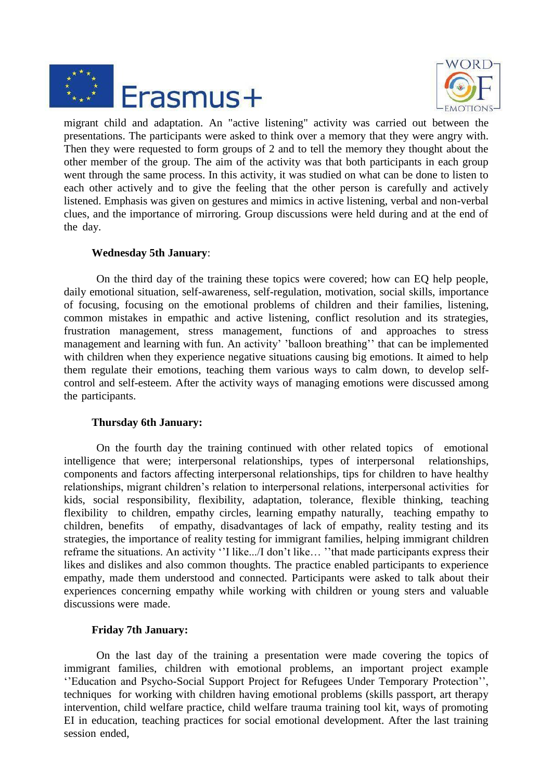



migrant child and adaptation. An "active listening" activity was carried out between the presentations. The participants were asked to think over a memory that they were angry with. Then they were requested to form groups of 2 and to tell the memory they thought about the other member of the group. The aim of the activity was that both participants in each group went through the same process. In this activity, it was studied on what can be done to listen to each other actively and to give the feeling that the other person is carefully and actively listened. Emphasis was given on gestures and mimics in active listening, verbal and non-verbal clues, and the importance of mirroring. Group discussions were held during and at the end of the day.

#### **Wednesday 5th January**:

On the third day of the training these topics were covered; how can EQ help people, daily emotional situation, self-awareness, self-regulation, motivation, social skills, importance of focusing, focusing on the emotional problems of children and their families, listening, common mistakes in empathic and active listening, conflict resolution and its strategies, frustration management, stress management, functions of and approaches to stress management and learning with fun. An activity' 'balloon breathing'' that can be implemented with children when they experience negative situations causing big emotions. It aimed to help them regulate their emotions, teaching them various ways to calm down, to develop selfcontrol and self-esteem. After the activity ways of managing emotions were discussed among the participants.

#### **Thursday 6th January:**

On the fourth day the training continued with other related topics of emotional intelligence that were; interpersonal relationships, types of interpersonal relationships, components and factors affecting interpersonal relationships, tips for children to have healthy relationships, migrant children's relation to interpersonal relations, interpersonal activities for kids, social responsibility, flexibility, adaptation, tolerance, flexible thinking, teaching flexibility to children, empathy circles, learning empathy naturally, teaching empathy to children, benefits of empathy, disadvantages of lack of empathy, reality testing and its strategies, the importance of reality testing for immigrant families, helping immigrant children reframe the situations. An activity ''I like.../I don't like… ''that made participants express their likes and dislikes and also common thoughts. The practice enabled participants to experience empathy, made them understood and connected. Participants were asked to talk about their experiences concerning empathy while working with children or young sters and valuable discussions were made.

# **Friday 7th January:**

On the last day of the training a presentation were made covering the topics of immigrant families, children with emotional problems, an important project example ''Education and Psycho-Social Support Project for Refugees Under Temporary Protection'', techniques for working with children having emotional problems (skills passport, art therapy intervention, child welfare practice, child welfare trauma training tool kit, ways of promoting EI in education, teaching practices for social emotional development. After the last training session ended,